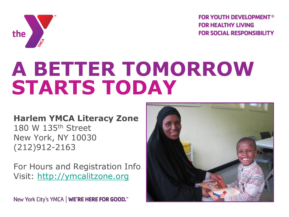

**FOR YOUTH DEVELOPMENT® FOR HEALTHY LIVING FOR SOCIAL RESPONSIBILITY** 

# **A BETTER TOMORROW STARTS TODAY**

### **Harlem YMCA Literacy Zone**

180 W 135th Street New York, NY 10030 (212)912-2163

For Hours and Registration Info Visit: [http://ymcalitzone.org](http://ymcalitzone.org/)

New York City's YMCA | WE'RE HERE FOR GOOD.<sup>™</sup>

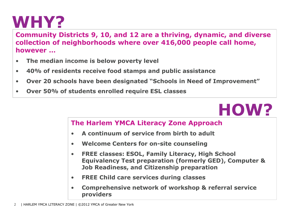### **WHY?**

**Community Districts 9, 10, and 12 are a thriving, dynamic, and diverse collection of neighborhoods where over 416,000 people call home, however …** 

- **The median income is below poverty level**
- **40% of residents receive food stamps and public assistance**
- **Over 20 schools have been designated "Schools in Need of Improvement"**
- **Over 50% of students enrolled require ESL classes**

### **HOW?**

#### **The Harlem YMCA Literacy Zone Approach**

- **A continuum of service from birth to adult**
- **Welcome Centers for on-site counseling**
- **FREE classes: ESOL, Family Literacy, High School Equivalency Test preparation (formerly GED), Computer & Job Readiness, and Citizenship preparation**
- **FREE Child care services during classes**
- **Comprehensive network of workshop & referral service providers**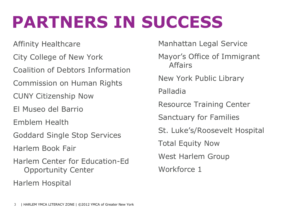## **PARTNERS IN SUCCESS**

Affinity Healthcare City College of New York Coalition of Debtors Information Commission on Human Rights CUNY Citizenship Now El Museo del Barrio Emblem Health Goddard Single Stop Services Harlem Book Fair Harlem Center for Education-Ed Opportunity Center Harlem Hospital

Manhattan Legal Service

Mayor's Office of Immigrant Affairs

New York Public Library

Palladia

Resource Training Center

Sanctuary for Families

St. Luke's/Roosevelt Hospital

Total Equity Now

West Harlem Group

Workforce 1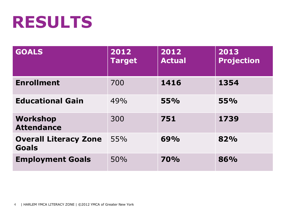## **RESULTS**

| <b>GOALS</b>                                 | 2012<br><b>Target</b> | 2012<br><b>Actual</b> | 2013<br><b>Projection</b> |
|----------------------------------------------|-----------------------|-----------------------|---------------------------|
| <b>Enrollment</b>                            | 700                   | 1416                  | 1354                      |
| <b>Educational Gain</b>                      | 49%                   | 55%                   | 55%                       |
| Workshop<br><b>Attendance</b>                | 300                   | 751                   | 1739                      |
| <b>Overall Literacy Zone</b><br><b>Goals</b> | 55%                   | 69%                   | 82%                       |
| <b>Employment Goals</b>                      | 50%                   | <b>70%</b>            | 86%                       |